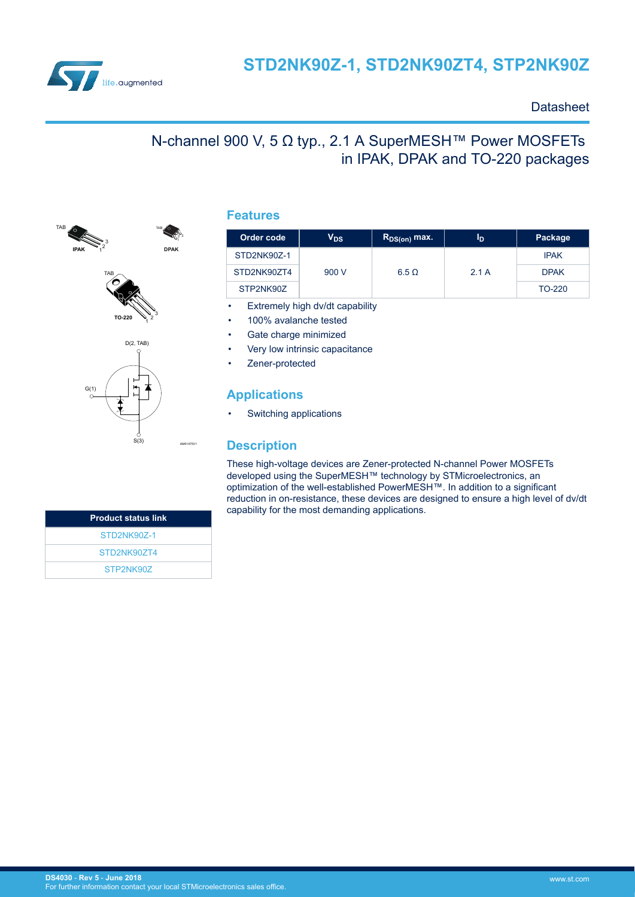

### **Datasheet**

# N-channel 900 V, 5 Ω typ., 2.1 A SuperMESH™ Power MOSFETs in IPAK, DPAK and TO-220 packages





S(3)

AM01475V1

1  $2^{\bullet}3$ **DPAK**

### **Features**

| Order code  | $V_{DS}$ | $R_{DS(on)}$ max. | ID   | Package     |
|-------------|----------|-------------------|------|-------------|
| STD2NK90Z-1 |          |                   |      | <b>IPAK</b> |
| STD2NK90ZT4 | 900 V    | $6.5 \Omega$      | 2.1A | <b>DPAK</b> |
| STP2NK90Z   |          |                   |      | TO-220      |

Extremely high dv/dt capability

- 100% avalanche tested
- Gate charge minimized
- Very low intrinsic capacitance
- Zener-protected

### **Applications**

Switching applications

### **Description**

These high-voltage devices are Zener-protected N-channel Power MOSFETs developed using the SuperMESH™ technology by STMicroelectronics, an optimization of the well-established PowerMESH™. In addition to a significant reduction in on-resistance, these devices are designed to ensure a high level of dv/dt capability for the most demanding applications.

| <b>Product status link</b> |
|----------------------------|
| STD2NK907-1                |
| STD2NK907T4                |
| STP2NK907                  |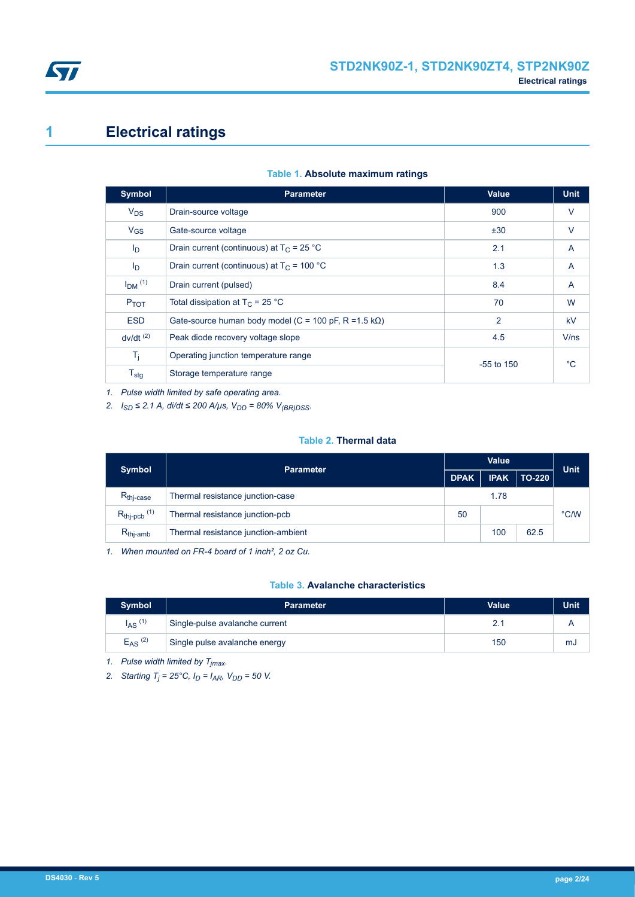<span id="page-1-0"></span>

# **1 Electrical ratings**

| <b>Symbol</b>          | <b>Parameter</b>                                               | <b>Value</b>   | <b>Unit</b> |
|------------------------|----------------------------------------------------------------|----------------|-------------|
| $V_{DS}$               | Drain-source voltage                                           | 900            | $\vee$      |
| $V_{GS}$               | Gate-source voltage                                            | ±30            | $\vee$      |
| I <sub>D</sub>         | Drain current (continuous) at $T_c = 25 °C$                    | 2.1            | A           |
| I <sub>D</sub>         | Drain current (continuous) at $T_c$ = 100 °C                   | 1.3            | A           |
| $IDM$ (1)              | Drain current (pulsed)                                         | 8.4            | A           |
| $P_{TOT}$              | Total dissipation at $T_C = 25 °C$                             | 70             | W           |
| <b>ESD</b>             | Gate-source human body model (C = 100 pF, R = 1.5 k $\Omega$ ) | $\overline{2}$ | kV          |
| $dv/dt$ <sup>(2)</sup> | Peak diode recovery voltage slope                              | 4.5            | V/ns        |
| $T_i$                  | Operating junction temperature range                           | $-55$ to 150   | $^{\circ}C$ |
| $T_{\text{stg}}$       | Storage temperature range                                      |                |             |

#### **Table 1. Absolute maximum ratings**

*1. Pulse width limited by safe operating area.*

*2. I*<sub>SD</sub> ≤ 2.1 A, di/dt ≤ 200 A/µs,  $V_{DD}$  = 80%  $V_{(BR)DSS}$ .

#### **Table 2. Thermal data**

| <b>Symbol</b>             | <b>Parameter</b>                    |      | <b>Value</b> |        |             |
|---------------------------|-------------------------------------|------|--------------|--------|-------------|
|                           |                                     |      | <b>IPAK</b>  | TO-220 | <b>Unit</b> |
| $R_{\text{thi-case}}$     | Thermal resistance junction-case    | 1.78 |              |        |             |
| $R_{thip}$ <sub>(1)</sub> | Thermal resistance junction-pcb     |      |              |        | °C/W        |
| $R_{thi-amb}$             | Thermal resistance junction-ambient |      | 100          | 62.5   |             |

*1. When mounted on FR-4 board of 1 inch², 2 oz Cu.*

#### **Table 3. Avalanche characteristics**

| <b>Symbol</b> | <b>Parameter</b>               | <b>Value</b> | <b>Unit</b> |
|---------------|--------------------------------|--------------|-------------|
| $I_{AS}$ (1)  | Single-pulse avalanche current |              |             |
| $E_{AS}$ (2)  | Single pulse avalanche energy  | 150          | mJ          |

*1. Pulse width limited by Tjmax.*

*2. Starting T<sup>j</sup> = 25°C, ID = IAR, VDD = 50 V.*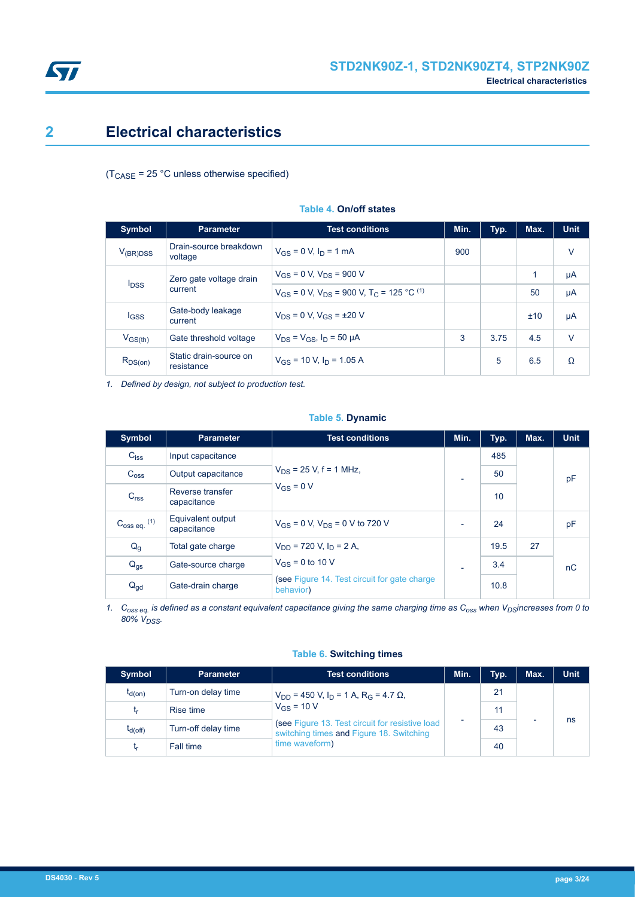<span id="page-2-0"></span>

## **2 Electrical characteristics**

 $(T_{\text{CASE}} = 25 \text{ °C}$  unless otherwise specified)

| <b>Symbol</b>           | <b>Parameter</b>                     | <b>Test conditions</b>                                                   | Min. | Typ. | Max. | <b>Unit</b> |
|-------------------------|--------------------------------------|--------------------------------------------------------------------------|------|------|------|-------------|
| $V_{(BR)DSS}$           | Drain-source breakdown<br>voltage    | $V_{GS} = 0 V, I_D = 1 mA$                                               | 900  |      |      | $\vee$      |
| Zero gate voltage drain |                                      | $V_{GS}$ = 0 V, $V_{DS}$ = 900 V                                         |      |      | 1    | μA          |
| <b>I</b> <sub>DSS</sub> | current                              | $V_{GS}$ = 0 V, $V_{DS}$ = 900 V, T <sub>C</sub> = 125 °C <sup>(1)</sup> |      |      | 50   | μA          |
| lgss                    | Gate-body leakage<br>current         | $V_{DS}$ = 0 V, $V_{GS}$ = ±20 V                                         |      |      | ±10  | μA          |
| $V_{GS(th)}$            | Gate threshold voltage               | $V_{DS} = V_{GS}$ , $I_D = 50 \mu A$                                     | 3    | 3.75 | 4.5  | V           |
| $R_{DS(on)}$            | Static drain-source on<br>resistance | $V_{GS}$ = 10 V, $I_D$ = 1.05 A                                          |      | 5    | 6.5  | Ω           |

#### **Table 4. On/off states**

*1. Defined by design, not subject to production test.*

#### **Table 5. Dynamic**

| Symbol                  | <b>Parameter</b>                 | <b>Test conditions</b>                                    |                          | Typ. | Max. | <b>Unit</b> |
|-------------------------|----------------------------------|-----------------------------------------------------------|--------------------------|------|------|-------------|
| $C_{iss}$               | Input capacitance                |                                                           |                          | 485  |      |             |
| C <sub>oss</sub>        | Output capacitance               | $V_{DS}$ = 25 V, f = 1 MHz,                               | $\overline{\phantom{0}}$ | 50   |      | pF          |
| C <sub>rss</sub>        | Reverse transfer<br>capacitance  | $V_{GS} = 0 V$                                            |                          | 10   |      |             |
| $C_{\rm 0SS}$ eq. $(1)$ | Equivalent output<br>capacitance | $V_{GS}$ = 0 V, $V_{DS}$ = 0 V to 720 V                   | $\overline{\phantom{0}}$ | 24   |      | pF          |
| $Q_g$                   | Total gate charge                | $V_{DD}$ = 720 V, $I_D$ = 2 A,                            |                          | 19.5 | 27   |             |
| $Q_{gs}$                | Gate-source charge               | $V_{GS}$ = 0 to 10 V                                      | $\overline{\phantom{0}}$ | 3.4  |      | nC          |
| $Q_{\text{gd}}$         | Gate-drain charge                | (see Figure 14. Test circuit for gate charge<br>behavior) |                          | 10.8 |      |             |

*1. Coss eq. is defined as a constant equivalent capacitance giving the same charging time as Coss when VDSincreases from 0 to 80% VDSS.*

#### **Table 6. Switching times**

| <b>Symbol</b> | <b>Parameter</b>    | <b>Test conditions</b>                                                                                          | Min. | Typ. | Max. | <b>Unit</b> |
|---------------|---------------------|-----------------------------------------------------------------------------------------------------------------|------|------|------|-------------|
| $t_{d(on)}$   | Turn-on delay time  | $V_{DD}$ = 450 V, I <sub>D</sub> = 1 A, R <sub>G</sub> = 4.7 $\Omega$ ,                                         |      | 21   |      |             |
| <b>Lr</b>     | Rise time           | $V_{GS}$ = 10 V<br>(see Figure 13. Test circuit for resistive load)<br>switching times and Figure 18. Switching |      | 11   |      |             |
| $t_{d(Off)}$  | Turn-off delay time |                                                                                                                 |      | 43   |      | ns          |
| <b>Lr</b>     | Fall time           | time waveform)                                                                                                  |      | 40   |      |             |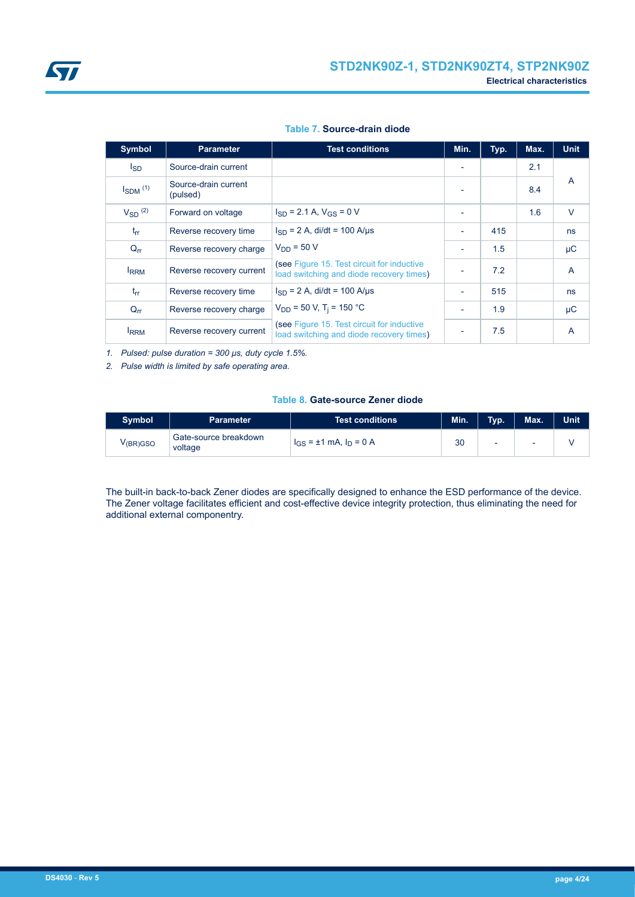|  | Table 7. Source-drain diode |  |
|--|-----------------------------|--|
|--|-----------------------------|--|

| <b>Symbol</b>   | <b>Parameter</b>                 | <b>Test conditions</b>                                                                 | Min.                     | Typ. | Max. | <b>Unit</b>    |
|-----------------|----------------------------------|----------------------------------------------------------------------------------------|--------------------------|------|------|----------------|
| <sub>sD</sub>   | Source-drain current             |                                                                                        | $\overline{\phantom{0}}$ |      | 2.1  |                |
| $I_{SDM}$ $(1)$ | Source-drain current<br>(pulsed) |                                                                                        | $\blacksquare$           |      | 8.4  | A              |
| $V_{SD}$ (2)    | Forward on voltage               | $I_{SD}$ = 2.1 A, $V_{GS}$ = 0 V                                                       |                          |      | 1.6  | $\vee$         |
| $t_{rr}$        | Reverse recovery time            | $I_{SD} = 2 A$ , di/dt = 100 A/us                                                      | ٠                        | 415  |      | ns             |
| $Q_{rr}$        | Reverse recovery charge          | $V_{DD} = 50 V$                                                                        | ٠                        | 1.5  |      | μC             |
| <b>IRRM</b>     | Reverse recovery current         | (see Figure 15. Test circuit for inductive<br>load switching and diode recovery times) |                          | 7.2  |      | $\overline{A}$ |
| $t_{rr}$        | Reverse recovery time            | $I_{SD}$ = 2 A, di/dt = 100 A/µs                                                       | $\blacksquare$           | 515  |      | ns             |
| $Q_{rr}$        | Reverse recovery charge          | $V_{DD}$ = 50 V, T <sub>i</sub> = 150 °C                                               | ٠                        | 1.9  |      | $\mu$ C        |
| <b>IRRM</b>     | Reverse recovery current         | (see Figure 15. Test circuit for inductive<br>load switching and diode recovery times) | $\overline{\phantom{a}}$ | 7.5  |      | A              |

*1. Pulsed: pulse duration = 300 μs, duty cycle 1.5%.*

*2. Pulse width is limited by safe operating area.*

#### **Table 8. Gate-source Zener diode**

| <b>Symbol</b>         | Parameter                        | <b>Test conditions</b>        | Min. | Typ.                     | Max. | <b>Unit</b> |
|-----------------------|----------------------------------|-------------------------------|------|--------------------------|------|-------------|
| V <sub>(BR)</sub> GSO | Gate-source breakdown<br>voltage | $I_{GS}$ = ±1 mA, $I_D$ = 0 A | 30   | $\overline{\phantom{0}}$ | -    |             |

The built-in back-to-back Zener diodes are specifically designed to enhance the ESD performance of the device. The Zener voltage facilitates efficient and cost-effective device integrity protection, thus eliminating the need for additional external componentry.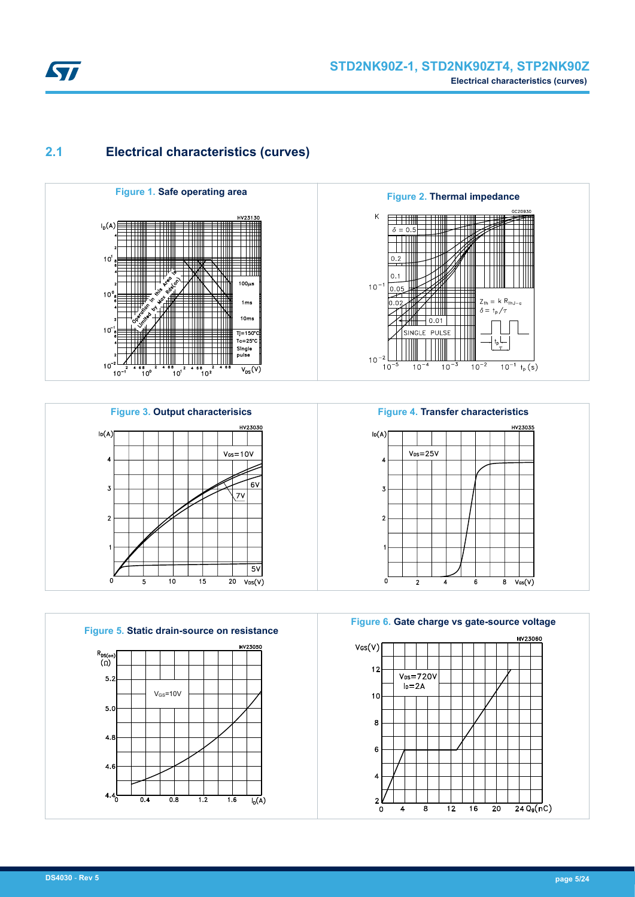<span id="page-4-0"></span>

## **2.1 Electrical characteristics (curves)**













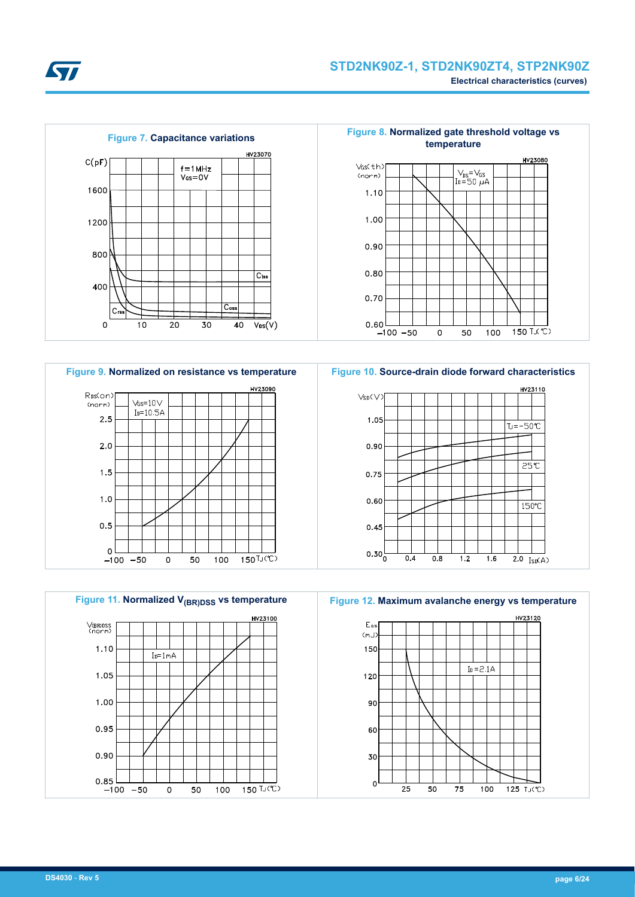



**Figure 9. Normalized on resistance vs temperature Figure 10. Source-drain diode forward characteristics**



HV23100 VGRODSS<br>(norm) 1.10  $I<sub>D</sub>=1mA$ 1.05 1.00  $0.95$  $0.90$  $0.85$   $-100$   $-50$  $\circ$ 50 100 150 TJ(℃)



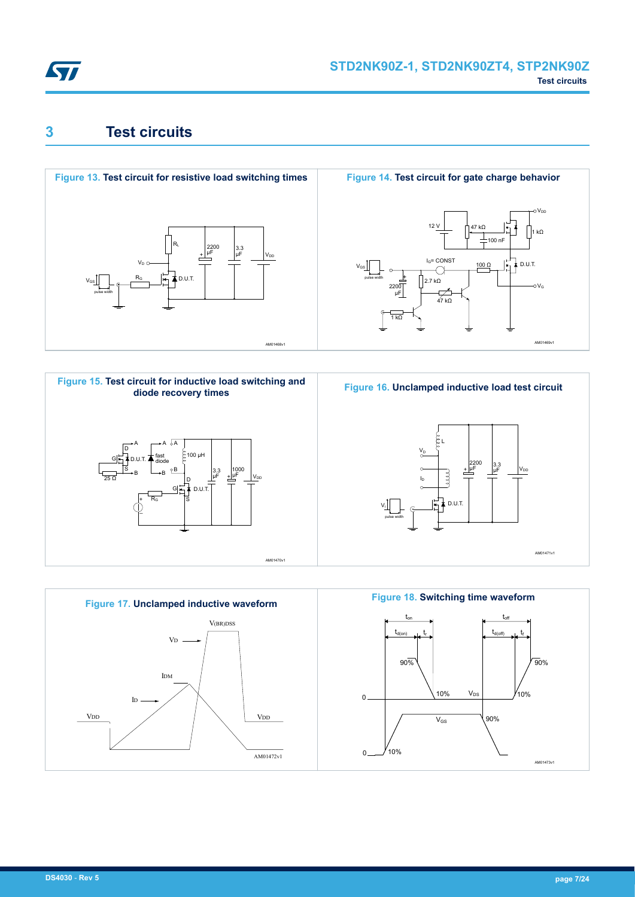<span id="page-6-0"></span>

## **3 Test circuits**











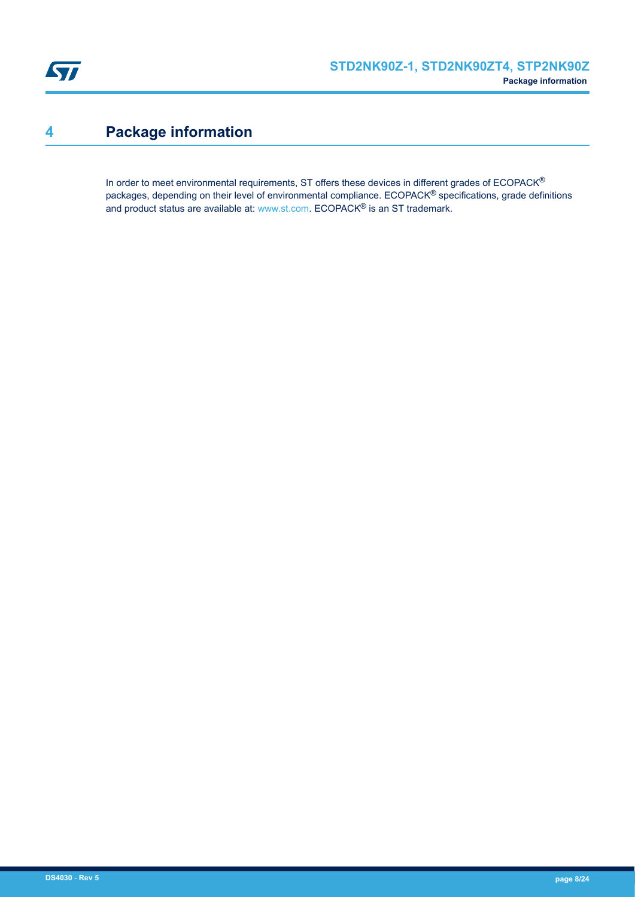<span id="page-7-0"></span>

# **4 Package information**

In order to meet environmental requirements, ST offers these devices in different grades of ECOPACK® packages, depending on their level of environmental compliance. ECOPACK® specifications, grade definitions and product status are available at: [www.st.com.](http://www.st.com) ECOPACK® is an ST trademark.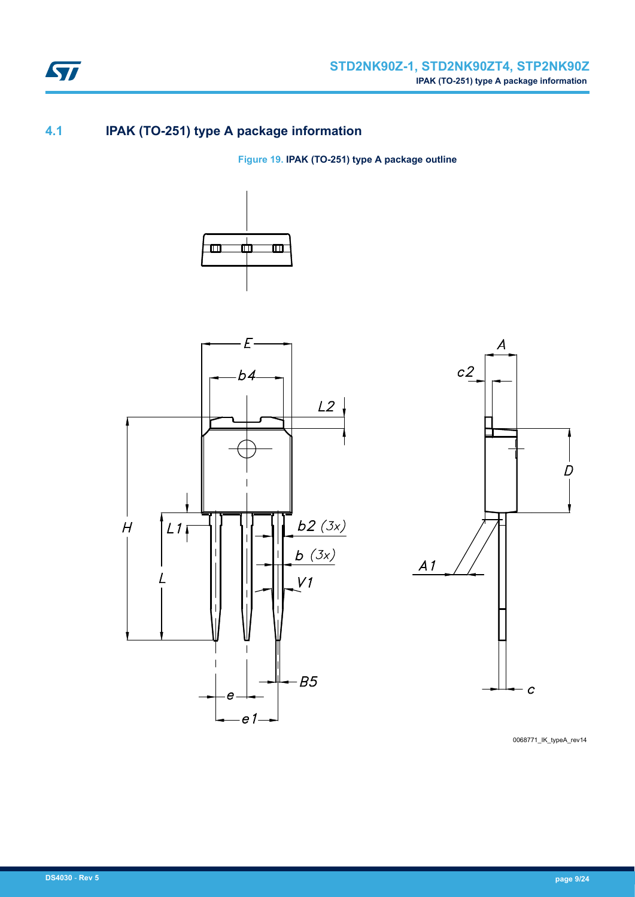

## **4.1 IPAK (TO-251) type A package information**

**Figure 19. IPAK (TO-251) type A package outline**







0068771\_IK\_typeA\_rev14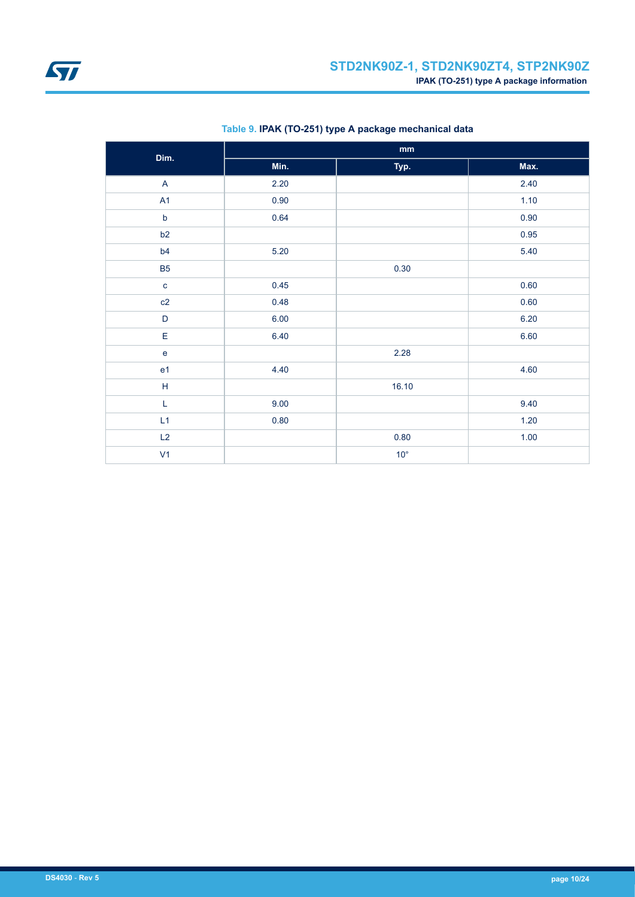<span id="page-9-0"></span>

| Dim.                              | $\mathop{\text{mm}}\nolimits$ |              |      |  |  |
|-----------------------------------|-------------------------------|--------------|------|--|--|
|                                   | Min.                          | Typ.         | Max. |  |  |
| $\mathsf{A}$                      | 2.20                          |              | 2.40 |  |  |
| A1                                | 0.90                          |              | 1.10 |  |  |
| $\mathsf b$                       | 0.64                          |              | 0.90 |  |  |
| b2                                |                               |              | 0.95 |  |  |
| b4                                | $5.20$                        |              | 5.40 |  |  |
| <b>B5</b>                         |                               | 0.30         |      |  |  |
| $\mathbf{C}$                      | 0.45                          |              | 0.60 |  |  |
| c2                                | 0.48                          |              | 0.60 |  |  |
| $\mathsf D$                       | 6.00                          |              | 6.20 |  |  |
| E                                 | 6.40                          |              | 6.60 |  |  |
| $\mathsf{e}% _{t}\left( t\right)$ |                               | 2.28         |      |  |  |
| e <sub>1</sub>                    | 4.40                          |              | 4.60 |  |  |
| $\mathsf H$                       |                               | 16.10        |      |  |  |
| L                                 | 9.00                          |              | 9.40 |  |  |
| L1                                | 0.80                          |              | 1.20 |  |  |
| L2                                |                               | 0.80         | 1.00 |  |  |
| V <sub>1</sub>                    |                               | $10^{\circ}$ |      |  |  |

### **Table 9. IPAK (TO-251) type A package mechanical data**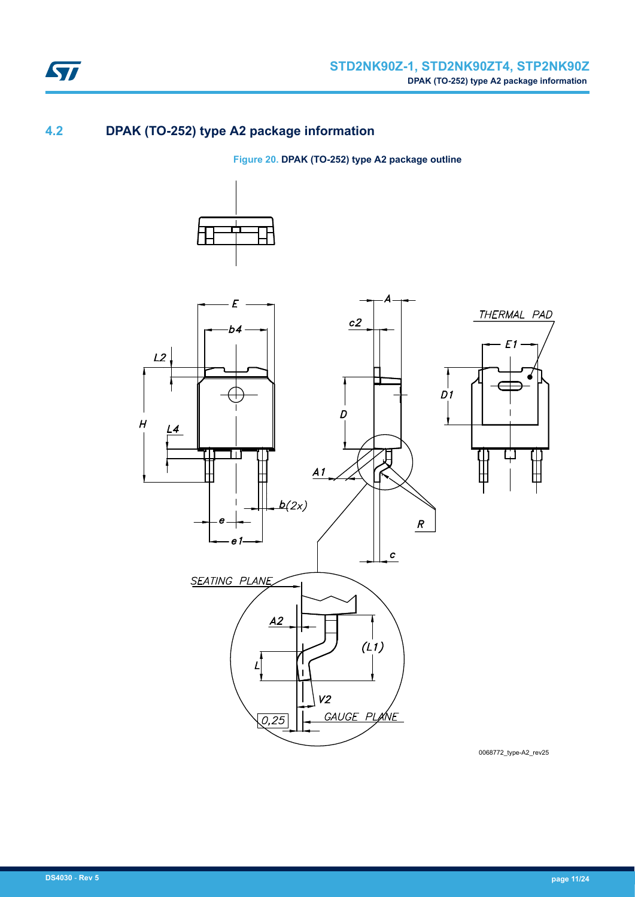

### **4.2 DPAK (TO-252) type A2 package information**

**Figure 20. DPAK (TO-252) type A2 package outline**





0068772\_type-A2\_rev25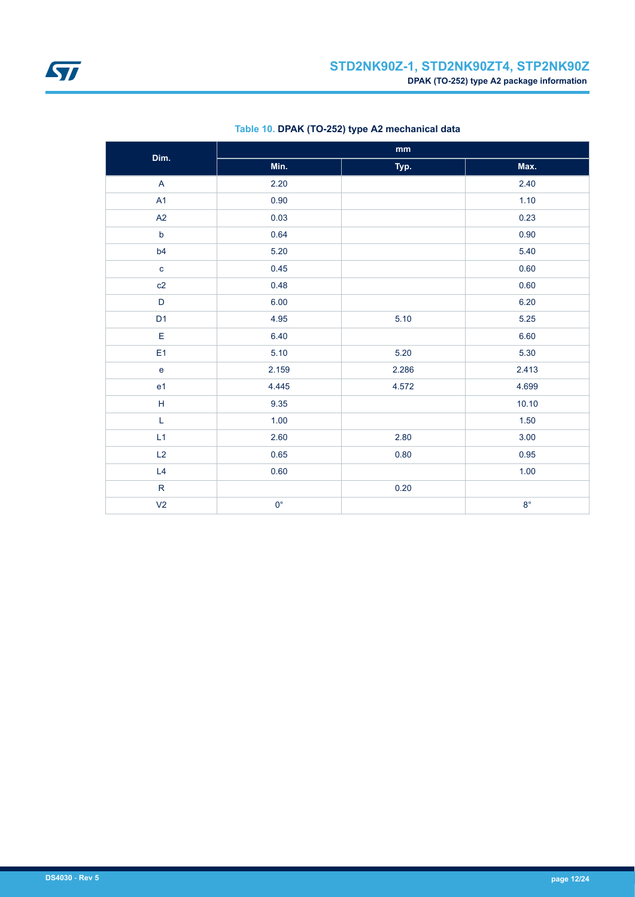<span id="page-11-0"></span>

| Dim.                                                      | $\mathop{\text{mm}}\nolimits$ |       |             |  |
|-----------------------------------------------------------|-------------------------------|-------|-------------|--|
|                                                           | Min.                          | Typ.  | Max.        |  |
| $\overline{A}$                                            | 2.20                          |       | 2.40        |  |
| A1                                                        | 0.90                          |       | 1.10        |  |
| A2                                                        | 0.03                          |       | 0.23        |  |
| $\mathsf b$                                               | 0.64                          |       | 0.90        |  |
| b <sub>4</sub>                                            | 5.20                          |       | 5.40        |  |
| $\mathbf c$                                               | 0.45                          |       | 0.60        |  |
| c2                                                        | 0.48                          |       | 0.60        |  |
| $\mathsf D$                                               | 6.00                          |       | 6.20        |  |
| D <sub>1</sub>                                            | 4.95                          | 5.10  | 5.25        |  |
| $\mathsf E$                                               | 6.40                          |       | 6.60        |  |
| E <sub>1</sub>                                            | 5.10                          | 5.20  | 5.30        |  |
| $\mathsf{e}% _{t}\left( t\right)$                         | 2.159                         | 2.286 | 2.413       |  |
| e <sub>1</sub>                                            | 4.445                         | 4.572 | 4.699       |  |
| $\mathsf{H}% _{\mathsf{H}}^{\mathsf{H}}(\mathcal{M}_{0})$ | 9.35                          |       | 10.10       |  |
| L                                                         | 1.00                          |       | 1.50        |  |
| L1                                                        | 2.60                          | 2.80  | 3.00        |  |
| L2                                                        | 0.65                          | 0.80  | 0.95        |  |
| L4                                                        | 0.60                          |       | 1.00        |  |
| ${\sf R}$                                                 |                               | 0.20  |             |  |
| V <sub>2</sub>                                            | $0^{\circ}$                   |       | $8^{\circ}$ |  |

### **Table 10. DPAK (TO-252) type A2 mechanical data**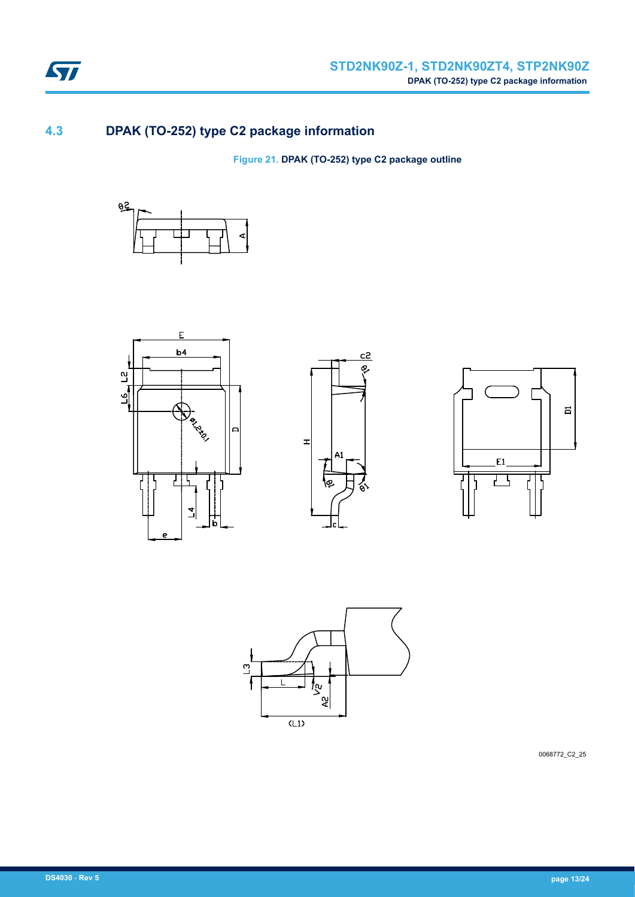

## **4.3 DPAK (TO-252) type C2 package information**

**Figure 21. DPAK (TO-252) type C2 package outline**











0068772\_C2\_25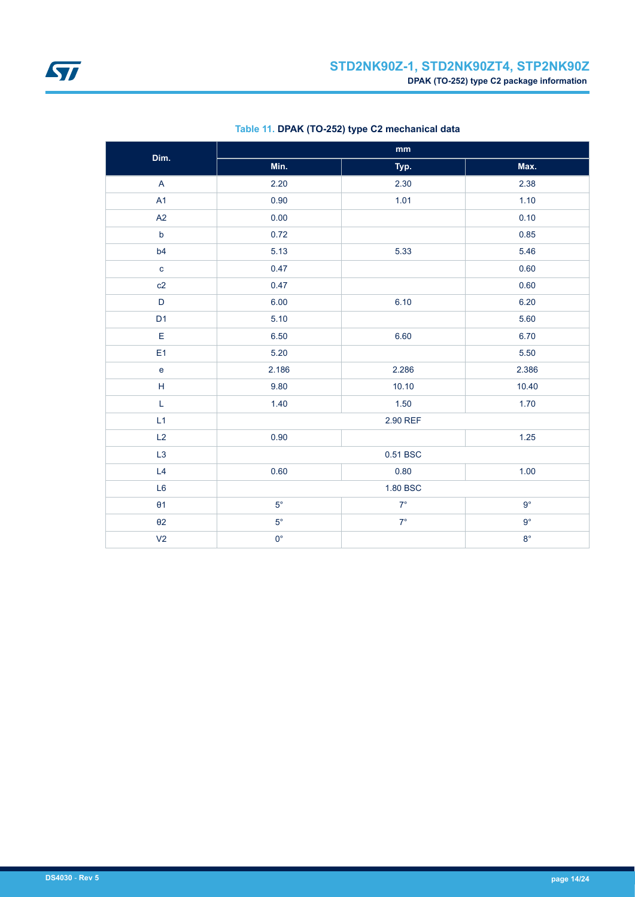<span id="page-13-0"></span>

| Dim.                                                        | $\mathop{\text{mm}}\nolimits$ |             |             |  |
|-------------------------------------------------------------|-------------------------------|-------------|-------------|--|
|                                                             | Min.                          | Typ.        | Max.        |  |
| $\overline{A}$                                              | 2.20                          | 2.30        | 2.38        |  |
| A1                                                          | 0.90                          | 1.01        | 1.10        |  |
| A2                                                          | 0.00                          |             | 0.10        |  |
| $\mathsf b$                                                 | 0.72                          |             | 0.85        |  |
| b4                                                          | 5.13                          | 5.33        | 5.46        |  |
| $\mathbf{C}$                                                | 0.47                          |             | 0.60        |  |
| c2                                                          | 0.47                          |             | 0.60        |  |
| $\mathsf D$                                                 | 6.00                          | 6.10        | 6.20        |  |
| D <sub>1</sub>                                              | 5.10                          |             | 5.60        |  |
| E                                                           | 6.50                          | 6.60        | 6.70        |  |
| E <sub>1</sub>                                              | 5.20                          |             | 5.50        |  |
| $\mathsf{e}% _{t}\left( t\right)$                           | 2.186                         | 2.286       | 2.386       |  |
| $\mathsf{H}% _{\mathbb{R}}^{1}\left( \mathbb{R}^{2}\right)$ | 9.80                          | 10.10       | 10.40       |  |
| L                                                           | 1.40                          | 1.50        | 1.70        |  |
| L1                                                          | 2.90 REF                      |             |             |  |
| L2                                                          | 0.90                          |             | $1.25$      |  |
| L <sub>3</sub>                                              | 0.51 BSC                      |             |             |  |
| L4                                                          | 0.60                          | 0.80        | 1.00        |  |
| L <sub>6</sub>                                              | 1.80 BSC                      |             |             |  |
| $\theta$ 1                                                  | $5^{\circ}$                   | $7^{\circ}$ | $9^{\circ}$ |  |
| $\theta$ 2                                                  | $5^{\circ}$                   | $7^\circ$   | $9^{\circ}$ |  |
| V <sub>2</sub>                                              | $0^{\circ}$                   |             | $8^{\circ}$ |  |

### **Table 11. DPAK (TO-252) type C2 mechanical data**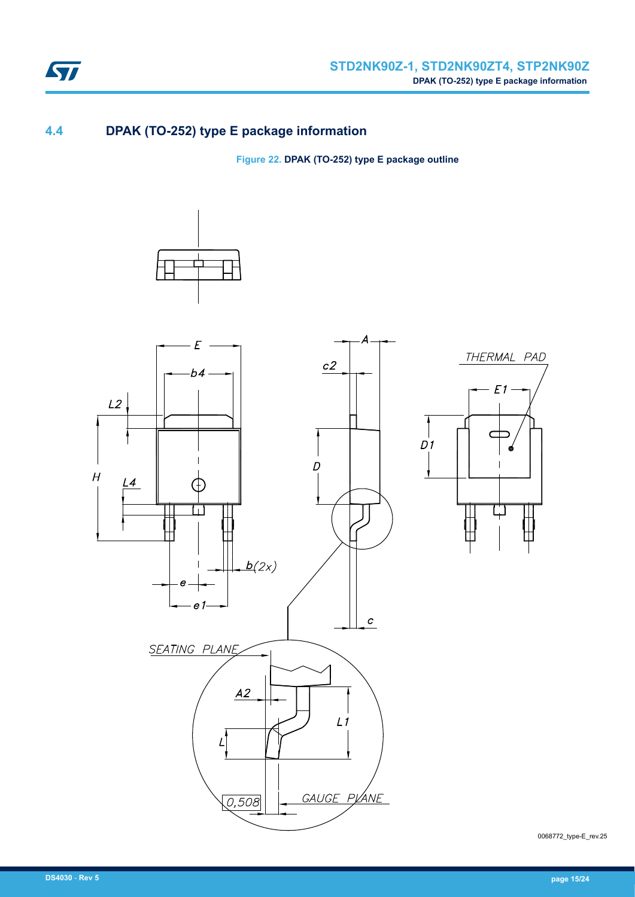

### **4.4 DPAK (TO-252) type E package information**

**Figure 22. DPAK (TO-252) type E package outline**



0068772\_type-E\_rev.25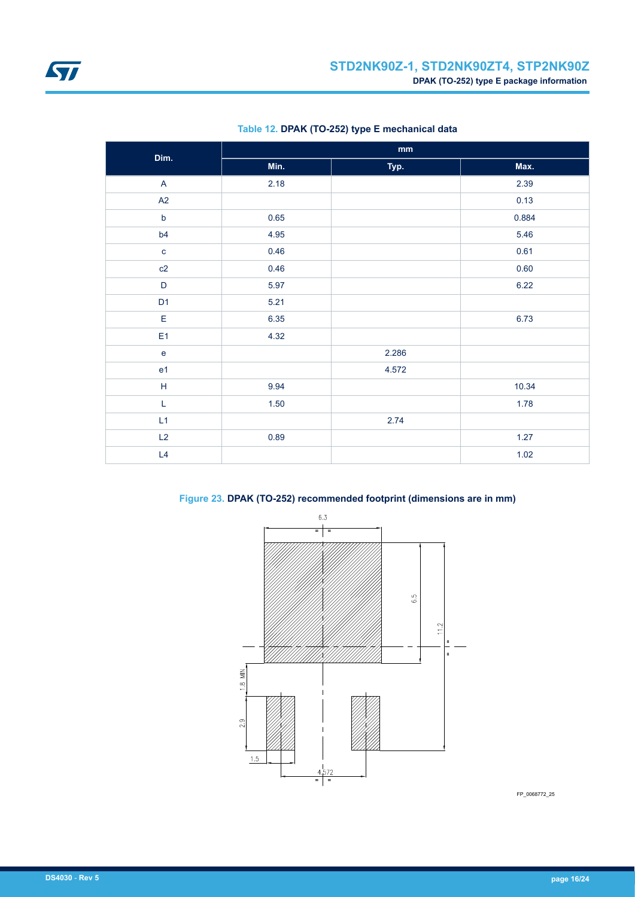<span id="page-15-0"></span>

| Dim.                                       | $\mathop{\bf mm}\nolimits$ |       |       |  |
|--------------------------------------------|----------------------------|-------|-------|--|
|                                            | Min.                       | Typ.  | Max.  |  |
| $\mathsf{A}$                               | 2.18                       |       | 2.39  |  |
| A2                                         |                            |       | 0.13  |  |
| $\mathsf b$                                | 0.65                       |       | 0.884 |  |
| b4                                         | 4.95                       |       | 5.46  |  |
| $\mathbf c$                                | 0.46                       |       | 0.61  |  |
| c2                                         | 0.46                       |       | 0.60  |  |
| $\mathsf D$                                | 5.97                       |       | 6.22  |  |
| D <sub>1</sub>                             | 5.21                       |       |       |  |
| $\mathsf E$                                | 6.35                       |       | 6.73  |  |
| E <sub>1</sub>                             | 4.32                       |       |       |  |
| $\mathsf{e}% _{0}\left( \mathsf{e}\right)$ |                            | 2.286 |       |  |
| e <sub>1</sub>                             |                            | 4.572 |       |  |
| $\mathsf H$                                | 9.94                       |       | 10.34 |  |
| L                                          | 1.50                       |       | 1.78  |  |
| L1                                         |                            | 2.74  |       |  |
| L2                                         | 0.89                       |       | 1.27  |  |
| L4                                         |                            |       | 1.02  |  |

### **Table 12. DPAK (TO-252) type E mechanical data**

**Figure 23. DPAK (TO-252) recommended footprint (dimensions are in mm)**



FP\_0068772\_25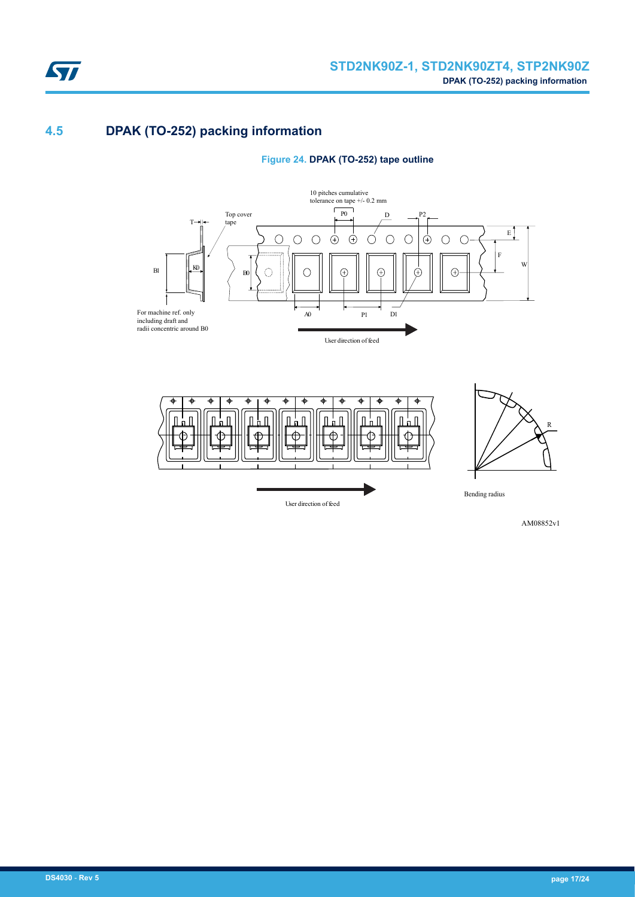

### **4.5 DPAK (TO-252) packing information**

**Figure 24. DPAK (TO-252) tape outline**





AM08852v1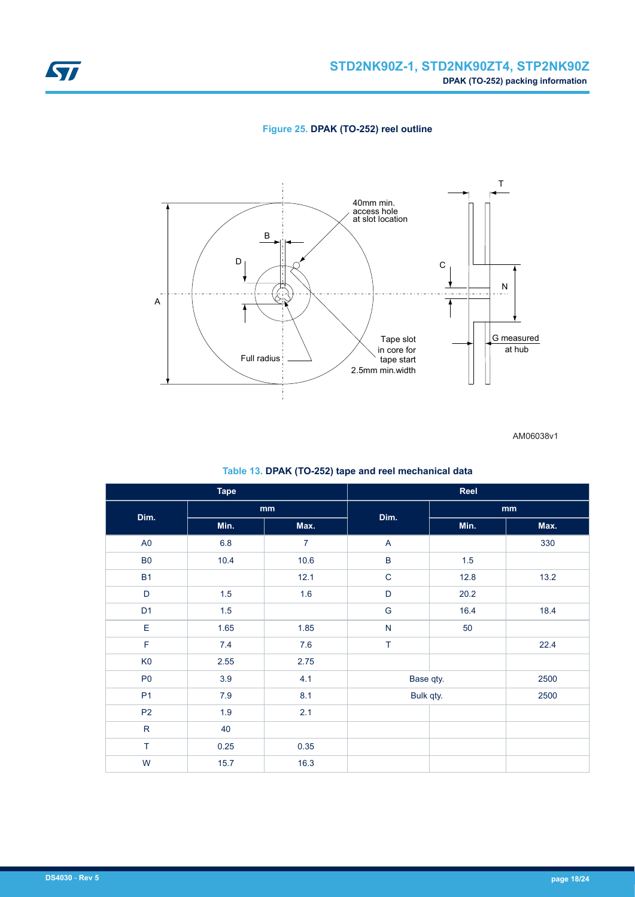<span id="page-17-0"></span>





AM06038v1

#### **Table 13. DPAK (TO-252) tape and reel mechanical data**

| <b>Tape</b>    |         | Reel           |             |      |      |
|----------------|---------|----------------|-------------|------|------|
| Dim.           | mm      |                | Dim.        | mm   |      |
|                | Min.    | Max.           |             | Min. | Max. |
| A <sub>0</sub> | $6.8\,$ | $\overline{7}$ | A           |      | 330  |
| B <sub>0</sub> | 10.4    | 10.6           | $\sf B$     | 1.5  |      |
| <b>B1</b>      |         | 12.1           | $\mathbf C$ | 12.8 | 13.2 |
| D              | 1.5     | 1.6            | D           | 20.2 |      |
| D <sub>1</sub> | 1.5     |                | G           | 16.4 | 18.4 |
| $\mathsf E$    | 1.65    | 1.85           | N           | 50   |      |
| $\mathsf F$    | 7.4     | 7.6            | $\top$      |      | 22.4 |
| K <sub>0</sub> | 2.55    | 2.75           |             |      |      |
| P <sub>0</sub> | 3.9     | 4.1            | Base qty.   |      | 2500 |
| P <sub>1</sub> | $7.9$   | 8.1            | Bulk qty.   |      | 2500 |
| P <sub>2</sub> | 1.9     | 2.1            |             |      |      |
| ${\sf R}$      | 40      |                |             |      |      |
| $\top$         | 0.25    | 0.35           |             |      |      |
| W              | 15.7    | 16.3           |             |      |      |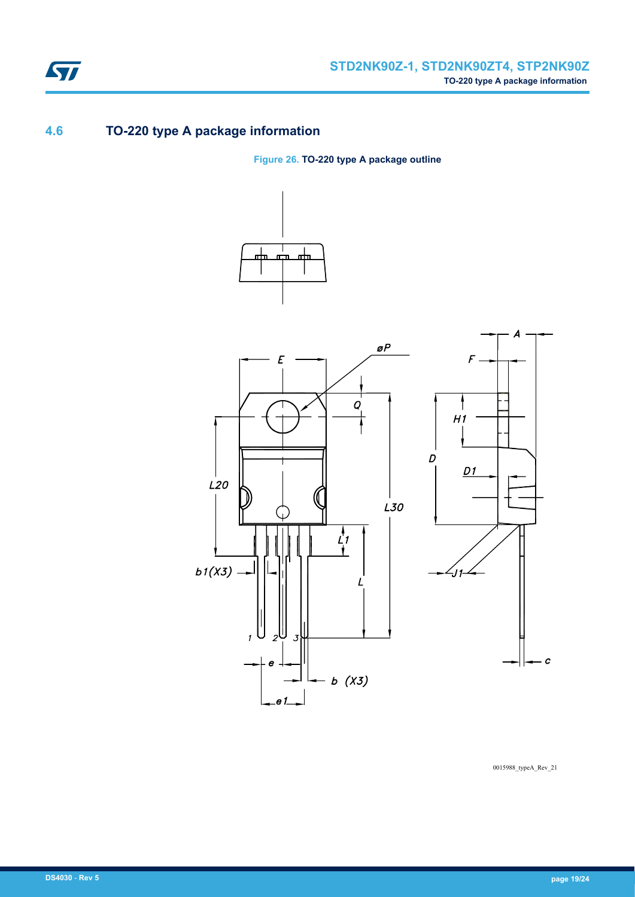

## **4.6 TO-220 type A package information**

**Figure 26. TO-220 type A package outline**





0015988\_typeA\_Rev\_21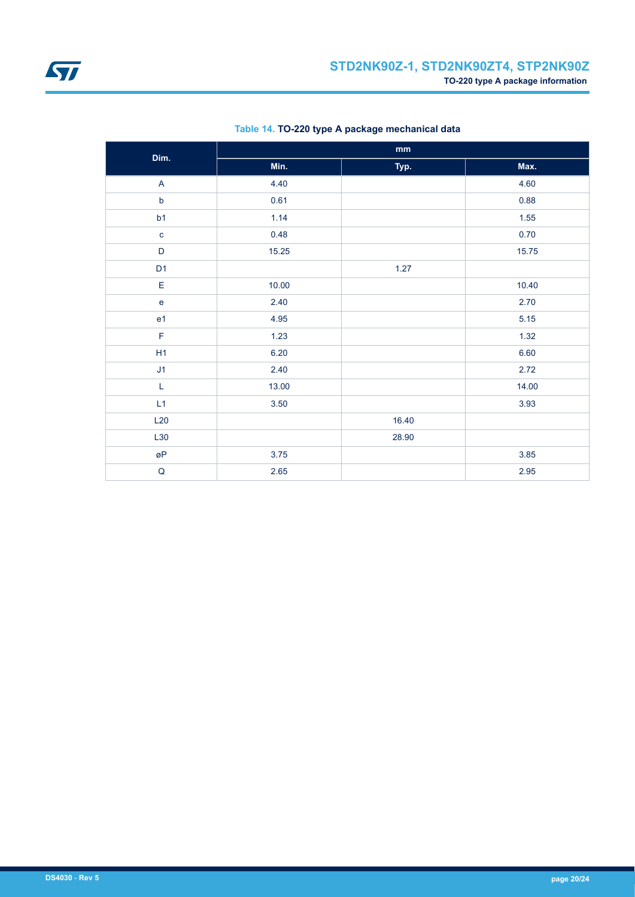

| Dim.           | $\mathbf{mm}$ |       |       |  |
|----------------|---------------|-------|-------|--|
|                | Min.          | Typ.  | Max.  |  |
| $\mathsf{A}$   | 4.40          |       | 4.60  |  |
| $\mathsf b$    | 0.61          |       | 0.88  |  |
| b1             | 1.14          |       | 1.55  |  |
| $\mathbf c$    | 0.48          |       | 0.70  |  |
| $\mathsf D$    | 15.25         |       | 15.75 |  |
| D <sub>1</sub> |               | 1.27  |       |  |
| E              | 10.00         |       | 10.40 |  |
| $\mathbf e$    | 2.40          |       | 2.70  |  |
| e <sub>1</sub> | 4.95          |       | 5.15  |  |
| $\mathsf F$    | 1.23          |       | 1.32  |  |
| H1             | 6.20          |       | 6.60  |  |
| J1             | 2.40          |       | 2.72  |  |
| $\mathsf L$    | 13.00         |       | 14.00 |  |
| L1             | 3.50          |       | 3.93  |  |
| L20            |               | 16.40 |       |  |
| L30            |               | 28.90 |       |  |
| øΡ             | 3.75          |       | 3.85  |  |
| $\sf Q$        | 2.65          |       | 2.95  |  |

### **Table 14. TO-220 type A package mechanical data**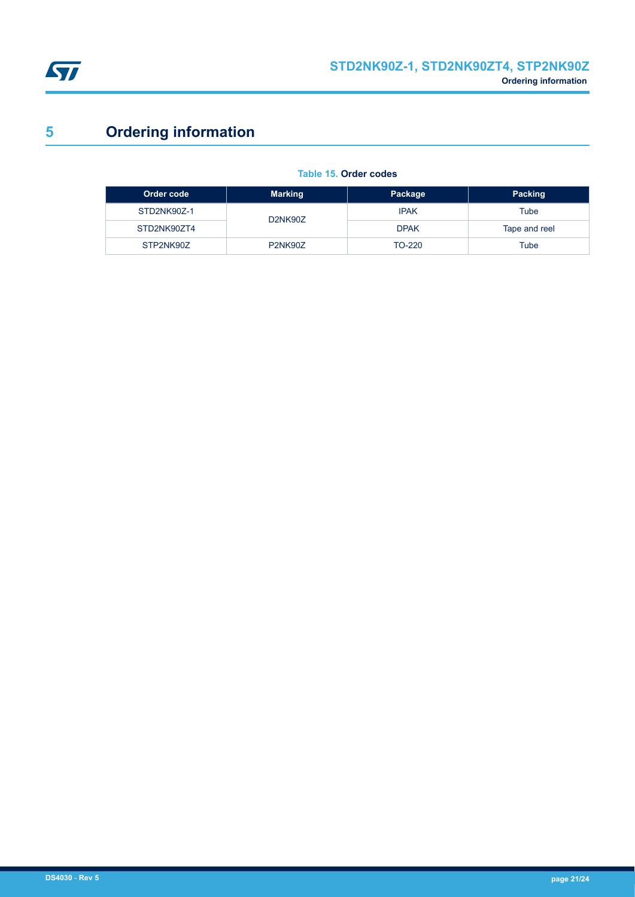<span id="page-20-0"></span>

# **5 Ordering information**

#### **Table 15. Order codes**

| Order code  | <b>Marking</b>                    | Package     | <b>Packing</b> |
|-------------|-----------------------------------|-------------|----------------|
| STD2NK90Z-1 | D <sub>2</sub> NK <sub>90</sub> Z | <b>IPAK</b> | Tube           |
| STD2NK90ZT4 |                                   | <b>DPAK</b> | Tape and reel  |
| STP2NK90Z   | <b>P2NK90Z</b>                    | TO-220      | Tube           |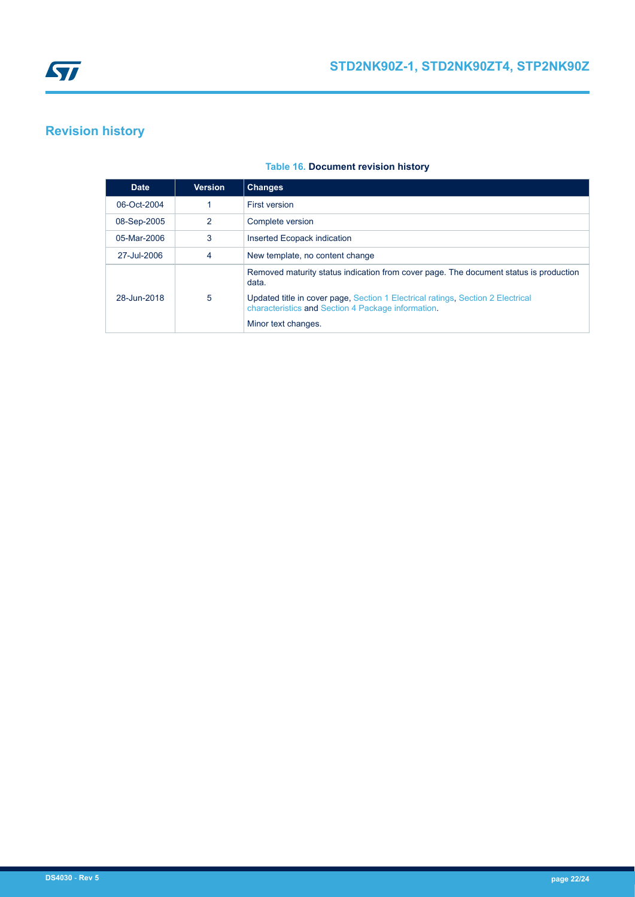# <span id="page-21-0"></span>**Revision history**

| <b>Table 16. Document revision history</b> |  |
|--------------------------------------------|--|
|                                            |  |

| <b>Date</b> | <b>Version</b> | <b>Changes</b>                                                                                                                        |
|-------------|----------------|---------------------------------------------------------------------------------------------------------------------------------------|
| 06-Oct-2004 |                | First version                                                                                                                         |
| 08-Sep-2005 | 2              | Complete version                                                                                                                      |
| 05-Mar-2006 | 3              | Inserted Ecopack indication                                                                                                           |
| 27-Jul-2006 | 4              | New template, no content change                                                                                                       |
|             |                | Removed maturity status indication from cover page. The document status is production<br>data.                                        |
| 28-Jun-2018 | 5              | Updated title in cover page, Section 1 Electrical ratings, Section 2 Electrical<br>characteristics and Section 4 Package information. |
|             |                | Minor text changes.                                                                                                                   |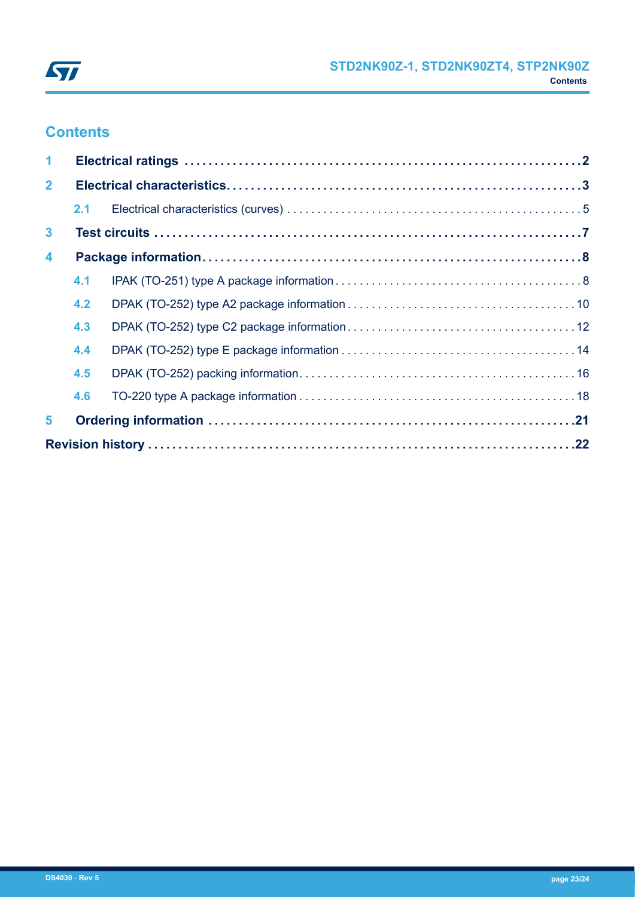

# **Contents**

| $\blacktriangleleft$    |     |  |  |  |
|-------------------------|-----|--|--|--|
| $\mathbf{2}$            |     |  |  |  |
|                         | 2.1 |  |  |  |
| $\mathbf{3}$            |     |  |  |  |
| $\overline{\mathbf{4}}$ |     |  |  |  |
|                         | 4.1 |  |  |  |
|                         | 4.2 |  |  |  |
|                         | 4.3 |  |  |  |
|                         | 4.4 |  |  |  |
|                         | 4.5 |  |  |  |
|                         | 4.6 |  |  |  |
| 5                       |     |  |  |  |
|                         |     |  |  |  |